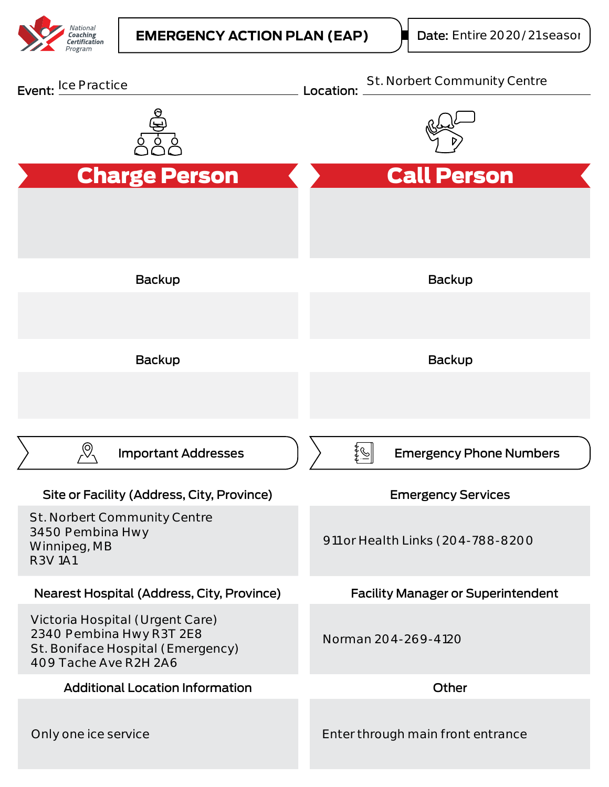

| Event: Ice Practice                                                                                                       | <b>St. Norbert Community Centre</b><br>Location: |
|---------------------------------------------------------------------------------------------------------------------------|--------------------------------------------------|
|                                                                                                                           |                                                  |
| <b>Charge Person</b>                                                                                                      | <b>Call Person</b>                               |
|                                                                                                                           |                                                  |
| Backup                                                                                                                    | <b>Backup</b>                                    |
|                                                                                                                           |                                                  |
| Backup                                                                                                                    | <b>Backup</b>                                    |
|                                                                                                                           |                                                  |
| <b>Important Addresses</b>                                                                                                | ∮ััััั<br><b>Emergency Phone Numbers</b>         |
| Site or Facility (Address, City, Province)                                                                                | <b>Emergency Services</b>                        |
| <b>St. Norbert Community Centre</b><br>3450 Pembina Hwy<br>Winnipeg, MB<br><b>R3V1A1</b>                                  | 911 or Health Links (204-788-8200                |
| Nearest Hospital (Address, City, Province)                                                                                | <b>Facility Manager or Superintendent</b>        |
| Victoria Hospital (Urgent Care)<br>2340 Pembina Hwy R3T 2E8<br>St. Boniface Hospital (Emergency)<br>409 Tache Ave R2H 2A6 | Norman 204-269-4120                              |
| <b>Additional Location Information</b>                                                                                    | Other                                            |
| Only one ice service                                                                                                      | Enter through main front entrance                |